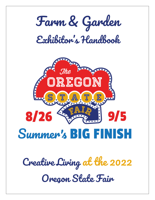



# Summer's BIG FIN

*Creative Living at the 2022 Oregon State Fair*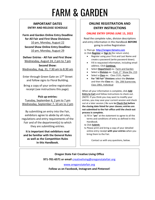# FARM & GARDEN

# **IMPORTANT DATES ENTRY AND RELEASE SCHEDULE**

**Farm and Garden Online Entry Deadline for All Fair and First Show Divisions:** 10 pm, Monday, August 22

**Second Show Online Entry Deadline:** 10 pm, Monday, August 29

**Deliver Entries - All Fair and First Show**: Wednesday, August 24, 2 pm to 7 pm

**Second Show:** Wednesday, Aug. 31, 7:30 am to 8:30 am

Enter through Green Gate on 17<sup>th</sup> Street and follow signs to Floral Building.

Bring a copy of your online registration receipt (see instructions this page).

#### **Pick up entries:**

Tuesday, September 6, 2 pm to 7 pm Wednesday, September 7, 10 am to 2 pm

By submitting an entry into the Fair, exhibitors agree to abide by all rules, regulations and entry requirements of the Fair and of the department(s) to which they are submitting entries.

**It is important that exhibitors read and be familiar with the General Rules as well as the Competition Rules in this Handbook.**

# **ONLINE REGISTRATION AND ENTRY INSTRUCTIONS**

#### **ONLINE ENTRY OPENS JUNE 15, 2022**

Read the complete rules, division descriptions and entry information in this Handbook **BEFORE** going to online Registration

**1.** Then go **[http://oregon.fairwire.com](http://oregon.fairwire.com/)**

- **2.** Click **Register** or **Sign In** (for return visits).
	- Register using your First and Last Name and create a password (write password down).
	- Fill in requested information, including email address. Click **Continue**.
	- Select **Department** ex.: Farm and Garden
	- **•** Select a **Division** ex.: Fruit, 1<sup>st</sup> Show Div. 213
	- Select a **Class** ex.: Class 2131, Apples
	- **For "All Fair" Divisions** select the **Division** and then the **Class** ex.: Div. 206 Scarecrow; Class 2061, Individual

When all your information is complete, click **Add Entry to Cart** and follow instructions to check out. (NOTE: If you think you may want to modify your entries, you may save your current session and check out at a later session.) Be sure **to Check Out before the closing date listed for your classes; entries are not submitted to the Fair office until the check-out process is complete.**

- **3.** Fill in "**yes**" at the statement to agree to all the terms and conditions of entry as defined in this Handbook.
- **4.** Click **Submit**.
- **5.** Please print and bring a copy of your detailed online entry receipt **with your entries** when you bring them to the Fair.

Contact us with any questions, below.

### **Oregon State Fair Creative Living Office**

**971-701-6571 or email** [creativeliving@oregonstatefair.org](mailto:creativeliving@oregonstatefair.org)

[www.oregonstatefair.org](http://www.oregonstatefair.org/)

**Follow us on Facebook, Instagram and Pinterest!**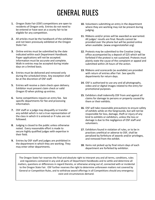# GENERAL RULES

- **1.** Oregon State Fair (OSF) competitions are open to residents of Oregon only. Entries do not need to be entered or have won at a county fair to be eligible for any competition.
- **2.** All articles must be the handiwork of the exhibitor and not been previously exhibited at the Oregon State Fair.
- **3.** Online entries must be submitted by the date indicated within each Department Handbook. Paper applications will not be accepted. Information must be accurate and complete. Walk-in entries may be accepted during intake days on a limited basis.
- **4.** Entries must be delivered and removed only during the scheduled times. Any exception shall be at the discretion of OSF staff.
- **5.** Entries will receive a claim check upon delivery. Exhibitor must present claim check or valid Oregon ID when picking up entries.
- **6.** Some competitions require an entry fee. See specific departments for fee and processing information.
- **7.** OSF staff or a judge may disqualify or transfer any exhibit which is not a true representation of the class in which it is entered or if rules are not followed.
- **8.** Judging is closed to the public unless otherwise noted. Every reasonable effort is made to secure highly qualified judges with expertise in their field.
- **9.** Entries by OSF staff and judges are prohibited in the department in which they are working. They may enter other departments.
- **10.** Volunteers submitting an entry in the department where they are working may not be present during judging.
- **11.** Ribbons and/or prizes will be awarded as warranted. All judges' results are final. Results cannot be provided over the phone but will be posted online when available. (www.oregonstatefair.org)
- **12.** Protests may be submitted to the Creative Living office accompanied by a deposit of \$25 which will be forfeited if the protest is not sustained. Protests must plainly state the cause of the complaint or appeal and submitted within 24 hours of the action.
- **13.** Ribbons and scorecards (as available) are provided with return of entries after Fair. See specific departments for return days.
- **14.** OSF is authorized to use any and all photographs, video and or digital images related to the entry for promotional purposes.
- **15.** Exhibitors shall indemnify OSF from and against all claims for damage to persons or property caused by them or their exhibits.
- **16.** OSF will take reasonable precautions to ensure safety of exhibits while on the fairgrounds, but will not be responsible for loss, damage, theft or injury of any kind to exhibits or exhibitors, unless the loss or damage is due to the negligence of OSF staff and volunteers.
- **17.** Exhibitors found in violation of rules, or to be in practices unethical or adverse to OSF, shall be penalized by forfeiture of awards and/or privileges, and removed from the exhibit.
- **18.** Items not picked up by final return days of each department are forfeited by exhibitor.

The Oregon State Fair reserves the final and absolute right to interpret any and all terms, conditions, rules and regulations contained in any and all parts of Department Handbooks and to settle and determine all matters, questions or differences in regard thereto, or otherwise arising out of, connected with or incidental to the Oregon State Fair. OSF further reserves the right to determine unforeseen matters not covered by General or Competition Rules, and to withdraw award offerings in all Competitions should any emergency exist and circumstances demand.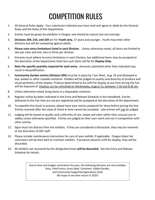# COMPETITION RULES

- 1. All General Rules Apply. Your submission indicates you have read and agree to abide by the General Rules and the Rules of this Department.
- 2. Entries must be grown by exhibitor in Oregon and should be mature but not overripe.
- 3. **Divisions 209, 219, and 229** are for **Youth only**, 17 years and younger. Youth may enter other divisions but will be competing against adults.
- 4. **Please note entry limitations listed in each Division**. Unless otherwise noted, all items are limited to two per class and one, two or three per division.
- 5. Entrants must adhere to entry limitations in each Division, but additional items may be accepted at the discretion of the Department Chair but such items will be for **Display Only.**
- 6. **Note the specific quantity required for each entry.** Amounts submitted other than indicated may result in disqualification.
- 7. **Community Garden entries (Division 204)** must be in place by 7 pm Wed., Aug. 24 and displayed in box, basket or other suitable container. Exhibits will be judged on quality and diversity of produce and visual aesthetics of the display. Produce determined to be unfit for display at any time during the Fair will be disposed of. Displays can be refreshed on Wednesday, August 31, between 7:30 and 8:30 am.
- 8. Unless otherwise noted, bring items in a disposable container.
- 9. Register online by dates indicated in the Entry and Release Schedule in this Handbook. Entries delivered to the Fair that are not pre-registered will be accepted at the discretion of the department.
- 10. To expedite the check-in process, please have your entries prepared for show before joining the line. Entries received after the close of check-in time cannot be accepted. Late entries will not be judged.
- 11. Judging will be based on quality and uniformity of size, shape and color rather than unusual size or oddity unless otherwise specified. Entries are judged on their own merit and not in competition with other entries.
- 12. Signs must not distract from the exhibits. If they are considered a distraction, they may be removed at the discretion of OSF staff.
- 13. Please include maintenance instructions for care of your exhibit, if applicable. Oregon State Fair volunteers will do their best to maintain exhibits. If products become unfit for display, they will be discarded.
- 14. All exhibits not recovered by the designated times **will be discarded**. See the Entry and Release Schedule for details.

Due to time and budget constraints this year, the following divisions are not available: Nuts, Field Grains, Grass Seed, Container- Edible Garden, and Community Supported Agriculture (CSA) We hope to see their return in 2023!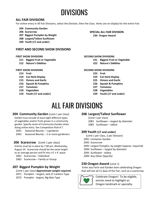# DIVISIONS

# **ALL FAIR DIVISIONS**

For online entry in All Fair Divisions, select the Division, then the Class. Items are on display for the entire Fair.

- **204 Community Garden**
- **206 Scarecrow**
- **207 Biggest Pumpkin by Weight**
- **208 Largest/Tallest Sunflower**
- **209 Youth (17 and under)**

#### **FIRST AND SECOND SHOW DIVISIONS**

#### **FIRST SHOW DIVISIONS**

- **211 Biggest Fruit or Vegetable**
- **212 Nature's Oddities**

#### **FIRST SHOW DIVISIONS**

- **213 Fruit**
- **214 Cut Herb Display**
- **215 Onions and Garlic**
- **216 Squash & Pumpkins**
- **217 Tomatoes**
- **218 Vegetables**
- **219 Youth (17 and under)**

#### **SPECIAL ALL FAIR DIVISION 230 Oregon Award**

**SECOND SHOW DIVISIONS**

- **221 Biggest Fruit or Vegetable**
- **222 Nature's Oddities**

#### **SECOND SHOW DIVISIONS**

- **223 Fruit**
- **224 Cut Herb Display**
- **225 Onions and Garlic**
- **226 Squash & Pumpkins**
- **227 Tomatoes**
- **228 Vegetables**
- **229 Youth (17 and under)**

# ALL FAIR DIVISIONS

#### **204 Community Garden** (Limit 1 per Class)

Exhibit must include at least eight different types of vegetables and/or fruits grown in a community garden. Specify name of Community Garden when doing online entry. See Competition Rule # 7.

- 2041 Seasonal Bounty 1 gardener
- 2042 Seasonal Bounty 2 or more gardeners

#### **206 Scarecrow** (Limit 1 per class)

Entries must be in place by 7:00 pm, Wednesday, August 24. Scarecrow should be the same height as an average person and fit into a 4' x 4' space.

- 2061 Scarecrow Individual
- 2062 Scarecrow Family or Group

# **207 Biggest Pumpkin by Weight**

- (Limit 1 per class) **Approximate weight required.** 2071 Pumpkin – largest, Jack-O'-Lantern Type
- 2072 Pumpkin largest, Big Max Type

### **208 Largest/Tallest Sunflower**

(Limit 1 per class) 2081 Sunflower – largest by diameter 2082 Sunflower – tallest

### **209 Youth (17 and under)**

- (Limit 1 per Class, 2 per Division)
- 2091 Container Garden
- 2092 Scarecrow
- 2093 Largest Pumpkin, by weight (approx. required)
- 2094 Sunflower largest by diameter
- 2095 Sunflower tallest
- 2099 Any Other (Specify)

### **230 Oregon Award** (Limit 1)

Enter any Farm and Garden item celebrating Oregon that will last all 11 days of the Fair, such as a scarecrow.



Celebrate Oregon! To be eligible, entries need to highlight an Oregon landmark or specialty.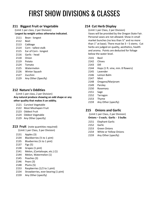# FIRST SHOW DIVISIONS & CLASSES

### **211 Biggest Fruit or Vegetable**

(Limit 1 per class, 2 per Division) **Largest by weight unless otherwise indicated.**

Bean - longest

- Beet
- Cabbage
- Corn tallest stalk
- Ear of Corn longest
- Garlic head
- Onion
- Potato
- Tomato
- Watermelon
- Winter Squash
- Zucchini
- Any Other (Specify)

# **212 Nature's Oddities**

(Limit 1 per class, 2 per Division) **Any natural produce showing an odd shape or any other quality that makes it an oddity.** 

- Curviest Vegetable
- Most Misshapen Fruit
- Oddest Fruit
- Oddest Vegetable
- Any Other (specify)

#### **213 Fruit** (note quantities required)

(Limit 1 per Class, 3 per Division)

- Apples (3)
- Blackberries (½ to 1 pint)
- Blueberries (½ to 1 pint)
- Figs (5)
- Grapes (1 pint)
- Melon, (Cantaloupe, etc.) (1)
- Melon, Watermelon (1)
- Peaches (3)
- Pears (3)
- Plums (5)
- Raspberries (1/2 to 1 pint)
- Strawberries, ever bearing (1 pint)
- Any Other (specify)

# **214 Cut Herb Display**

(Limit 1 per Class, 2 per Division) Vases will be provided by the Oregon State Fair. Personal vases are not allowed. Show in small market bunches (no less than ½" and no more than  $1''$  at base). There must be  $3 - 5$  stems. Cut herbs are judged on quality, aesthetics, health and aroma. Points are deducted for foliage below the water level.

- Basil
- Chives
- Dill
- Hops (1 ft. vine, min. 8 flowers)
- Lavender
- Lemon Balm
- Mint
- Oregano/Marjoram
- Parsley
- Rosemary
- Sage
- Tarragon
- Thyme
- Any Other (specify)

# **215 Onions and Garlic**

(Limit 1 per Class, 2 per Division)

- **Onions – 3 each; Garlic 3 bulbs**
- Elephant Garlic
- Garlic
- Green Onions
- White or Yellow Onions
- Any Other (specify)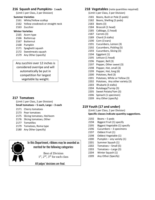### **Squash and Pumpkins- 1 each**

(Limit 1 per Class, 2 per Division)

#### **Summer Varieties**

- White/Yellow scallop
- Yellow crookneck or straight neck
- Zucchini

#### **Winter Varieties**

- Acorn type
- Buttercup
- Butternut
- Pumpkin
- Spaghetti squash
- Sweetmeats squash
- Any Other (specify)

Any zucchini over 12 inches is considered overripe and will automatically be put in competition for largest vegetable by weight.

# **217 Tomatoes**

(Limit 1 per Class, 2 per Division) **Small tomatoes – 5 each, Large – 3 each**

- Cherry tomatoes
- Pear tomatoes
- Slicing tomatoes, Heirloom
- Slicing tomatoes, Other
- Tomatillos
- Tomatoes, Roma type
- Any Other (specify)



# In this Department, ribbons may be awarded as merited for the following categories:

Best of Division 1<sup>st</sup>, 2<sup>nd</sup>, 3<sup>rd</sup> for each class

All judges' decisions are final.

### **218 Vegetables** (note quantities required)

(Limit 1 per Class, 3 per Division)

- Beans, Bush or Pole (5 pods)
- Beans, Shelling (5 pods)
- Beets (3)
- Broccoli (1 head)
- Cabbage, (1 head)
- Carrots (3)
- Chard (3 stalks)
- Corn (3 ears)
- Cucumbers, Lemon (3)
- Cucumbers, Pickling (5)
- Cucumbers, Slicing (3)
- Eggplant (1)
- Lettuce (1 head)
- Pepper, Bell (3)
- Pepper, Other sweet (3)
- Pepper, Hot, small (3)
- Pepper, Hot, long (6)
- Potatoes, Red (3)
- Potatoes, White or Yellow (3)
- Potatoes, Any other variety (3)
- 2203 Rhubarb (3 stalks)
- Rutabaga/Turnip (3)
- Sweet Potato/Yam (3)
- Spinach (1 specimen)
- Any Other (specify)

# **Youth (17 and under)**

(Limit 1 per Class, 2 per Division) **Specific classes indicate quantity suggestions.** 

- Beans 5 pods
- Biggest Fruit (1) specify
- Biggest Vegetable (1) specify
- Cucumbers 3 specimens
- Oddest Fruit (1)
- Oddest Vegetable (1)
- Pumpkin any variety (1)
- Summer Squash (1)
- Tomatoes Small (5)
- Tomatoes Large (3)
- Winter Squash (1)
- Any Other (Specify)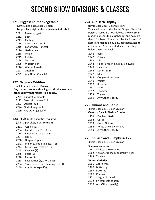# SECOND SHOW DIVISIONS & CLASSES

# **221 Biggest Fruit or Vegetable**

(Limit 1 per class, 2 per Division) **Largest by weight unless otherwise indicated.**

- Bean longest
- Beet
- Cabbage
- Corn tallest stalk
- Ear of Corn longest
- Garlic head
- Onion
- Potato
- Tomato
- Watermelon
- Winter Squash
- Zucchini
- Any Other (Specify)

### **222 Nature's Oddities**

(Limit 1 per class, 2 per Division)

**Any natural produce showing an odd shape or any other quality that makes it an oddity.** 

- Curviest Vegetable
- Most Misshapen Fruit
- Oddest Fruit
- Oddest Vegetable
- Any Other (specify)

#### **223 Fruit** (note quantities required)

(Limit 1 per Class, 3 per Division)

- Apples (3)
- Blackberries (½ to 1 pint)
- Blueberries (½ to 1 pint)
- Figs (5)
- Grapes, (1 pint)
- Melon (Cantaloupe etc.) (1)
- Melon, Watermelon (1)
- Peaches (3)
- Pears (3)
- Plums (5)
- Raspberries (1/2 to 1 pint)
- Strawberries, ever bearing (1 pint)
- Any Other (specify)

### **224 Cut Herb Display**

(Limit 1 per Class, 2 per Division) Vases will be provided by the Oregon State Fair. Personal vases are not allowed. Show in small market bunches (no less than ½" and no more than  $1''$  at base). There must be  $3 - 5$  stems. Cut herbs are judged on quality, aesthetics, health and aroma. Points are deducted for foliage below the water level.

- Basil
- Chives
- Dill
- Hops (1-foot vine, min. 8 flowers)
- Lavender
- Lemon Balm
- Mint
- Oregano/Marjoram
- Parsley
- Rosemary
- Sage
- Tarragon
- Thyme
- Any Other (specify)

### **225 Onions and Garlic**

(Limit 1 per Class, 2 per Division)

#### **Onions – 3 each; Garlic - 3 bulbs**

- Elephant Garlic
- Garlic
- Green Onions
- White or Yellow Onions
- Any Other (specify)

#### **226 Squash and Pumpkins- 2 each**

(Limit 1 per Class, 2 per Division)

#### **Summer Varieties**

- White/Yellow scallop
- Yellow crookneck or straight neck
- Zucchini

#### **Winter Varieties**

- Acorn type
- Buttercup
- Butternut
- Pumpkin
- Spaghetti squash
- Sweetmeats squash
- Any Other (specify)